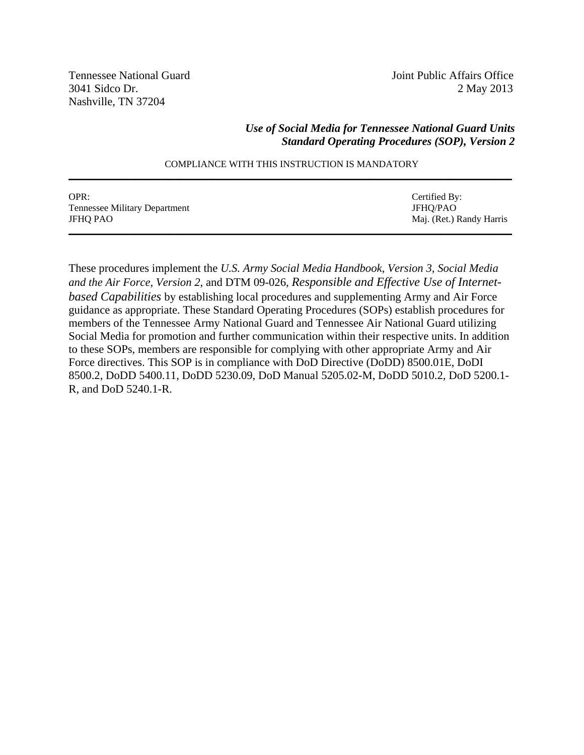Tennessee National Guard Joint Public Affairs Office Nashville, TN 37204

3041 Sidco Dr. 2 May 2013

#### *Use of Social Media for Tennessee National Guard Units Standard Operating Procedures (SOP), Version 2*

| OPR:                          | Certified By:            |
|-------------------------------|--------------------------|
| Tennessee Military Department | JFHO/PAO                 |
| <b>JFHO PAO</b>               | Maj. (Ret.) Randy Harris |
|                               |                          |

#### COMPLIANCE WITH THIS INSTRUCTION IS MANDATORY **\_\_\_\_\_\_\_\_\_\_\_\_\_\_\_\_\_\_\_\_\_\_\_\_\_\_\_\_\_\_\_\_\_\_\_\_\_\_\_\_\_\_\_\_\_\_\_\_\_\_\_\_\_\_\_\_\_\_\_\_\_\_\_\_\_\_\_\_\_\_\_\_\_\_\_\_\_\_\_\_\_\_\_\_\_\_\_\_\_\_\_\_\_**

These procedures implement the *U.S. Army Social Media Handbook, Version 3, Social Media and the Air Force, Version 2*, and DTM 09-026, *Responsible and Effective Use of Internetbased Capabilities* by establishing local procedures and supplementing Army and Air Force guidance as appropriate. These Standard Operating Procedures (SOPs) establish procedures for members of the Tennessee Army National Guard and Tennessee Air National Guard utilizing Social Media for promotion and further communication within their respective units. In addition to these SOPs, members are responsible for complying with other appropriate Army and Air Force directives. This SOP is in compliance with DoD Directive (DoDD) 8500.01E, DoDI 8500.2, DoDD 5400.11, DoDD 5230.09, DoD Manual 5205.02-M, DoDD 5010.2, DoD 5200.1- R, and DoD 5240.1-R.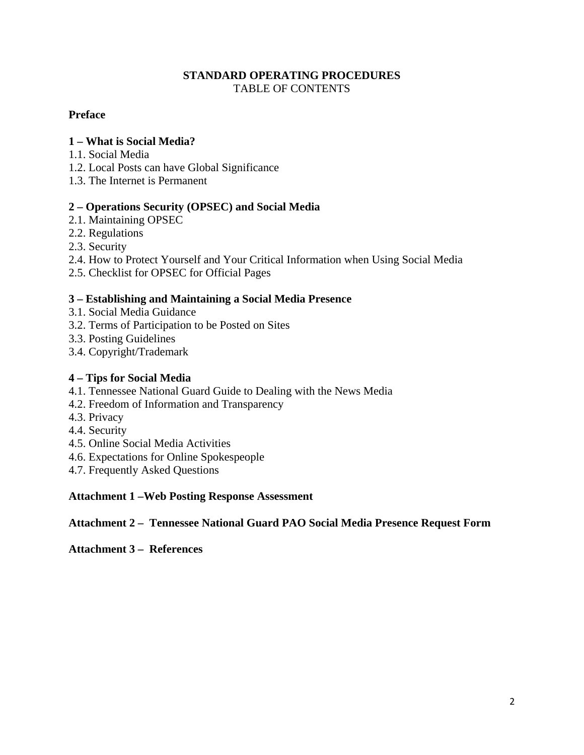### **STANDARD OPERATING PROCEDURES**  TABLE OF CONTENTS

### **Preface**

#### **1 – What is Social Media?**

- 1.1. Social Media
- 1.2. Local Posts can have Global Significance
- 1.3. The Internet is Permanent

#### **2 – Operations Security (OPSEC) and Social Media**

- 2.1. Maintaining OPSEC
- 2.2. Regulations
- 2.3. Security
- 2.4. How to Protect Yourself and Your Critical Information when Using Social Media
- 2.5. Checklist for OPSEC for Official Pages

#### **3 – Establishing and Maintaining a Social Media Presence**

- 3.1. Social Media Guidance
- 3.2. Terms of Participation to be Posted on Sites
- 3.3. Posting Guidelines
- 3.4. Copyright/Trademark

#### **4 – Tips for Social Media**

- 4.1. Tennessee National Guard Guide to Dealing with the News Media
- 4.2. Freedom of Information and Transparency
- 4.3. Privacy
- 4.4. Security
- 4.5. Online Social Media Activities
- 4.6. Expectations for Online Spokespeople
- 4.7. Frequently Asked Questions

#### **Attachment 1 –Web Posting Response Assessment**

**Attachment 2 – Tennessee National Guard PAO Social Media Presence Request Form** 

**Attachment 3 – References**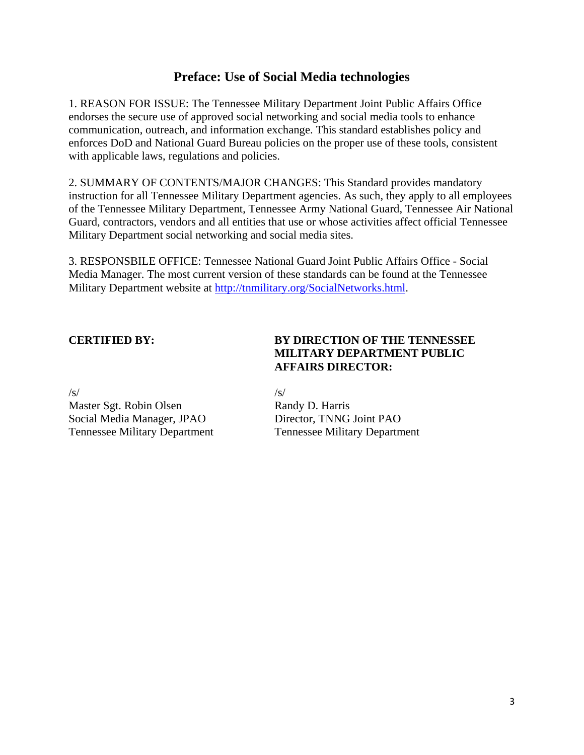## **Preface: Use of Social Media technologies**

1. REASON FOR ISSUE: The Tennessee Military Department Joint Public Affairs Office endorses the secure use of approved social networking and social media tools to enhance communication, outreach, and information exchange. This standard establishes policy and enforces DoD and National Guard Bureau policies on the proper use of these tools, consistent with applicable laws, regulations and policies.

2. SUMMARY OF CONTENTS/MAJOR CHANGES: This Standard provides mandatory instruction for all Tennessee Military Department agencies. As such, they apply to all employees of the Tennessee Military Department, Tennessee Army National Guard, Tennessee Air National Guard, contractors, vendors and all entities that use or whose activities affect official Tennessee Military Department social networking and social media sites.

3. RESPONSBILE OFFICE: Tennessee National Guard Joint Public Affairs Office - Social Media Manager. The most current version of these standards can be found at the Tennessee Military Department website at http://tnmilitary.org/SocialNetworks.html.

### **CERTIFIED BY: BY DIRECTION OF THE TENNESSEE MILITARY DEPARTMENT PUBLIC AFFAIRS DIRECTOR:**

 $\sqrt{s}/\sqrt{s}$ Master Sgt. Robin Olsen Randy D. Harris Social Media Manager, JPAO Director, TNNG Joint PAO Tennessee Military Department Tennessee Military Department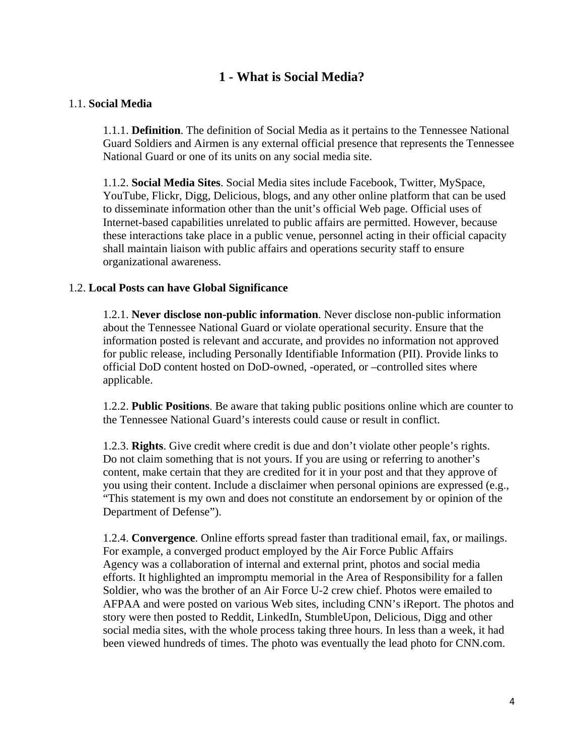## **1 - What is Social Media?**

#### 1.1. **Social Media**

1.1.1. **Definition**. The definition of Social Media as it pertains to the Tennessee National Guard Soldiers and Airmen is any external official presence that represents the Tennessee National Guard or one of its units on any social media site.

1.1.2. **Social Media Sites**. Social Media sites include Facebook, Twitter, MySpace, YouTube, Flickr, Digg, Delicious, blogs, and any other online platform that can be used to disseminate information other than the unit's official Web page. Official uses of Internet-based capabilities unrelated to public affairs are permitted. However, because these interactions take place in a public venue, personnel acting in their official capacity shall maintain liaison with public affairs and operations security staff to ensure organizational awareness.

#### 1.2. **Local Posts can have Global Significance**

1.2.1. **Never disclose non-public information**. Never disclose non-public information about the Tennessee National Guard or violate operational security. Ensure that the information posted is relevant and accurate, and provides no information not approved for public release, including Personally Identifiable Information (PII). Provide links to official DoD content hosted on DoD-owned, -operated, or –controlled sites where applicable.

1.2.2. **Public Positions**. Be aware that taking public positions online which are counter to the Tennessee National Guard's interests could cause or result in conflict.

1.2.3. **Rights**. Give credit where credit is due and don't violate other people's rights. Do not claim something that is not yours. If you are using or referring to another's content, make certain that they are credited for it in your post and that they approve of you using their content. Include a disclaimer when personal opinions are expressed (e.g., "This statement is my own and does not constitute an endorsement by or opinion of the Department of Defense").

1.2.4. **Convergence**. Online efforts spread faster than traditional email, fax, or mailings. For example, a converged product employed by the Air Force Public Affairs Agency was a collaboration of internal and external print, photos and social media efforts. It highlighted an impromptu memorial in the Area of Responsibility for a fallen Soldier, who was the brother of an Air Force U-2 crew chief. Photos were emailed to AFPAA and were posted on various Web sites, including CNN's iReport. The photos and story were then posted to Reddit, LinkedIn, StumbleUpon, Delicious, Digg and other social media sites, with the whole process taking three hours. In less than a week, it had been viewed hundreds of times. The photo was eventually the lead photo for CNN.com.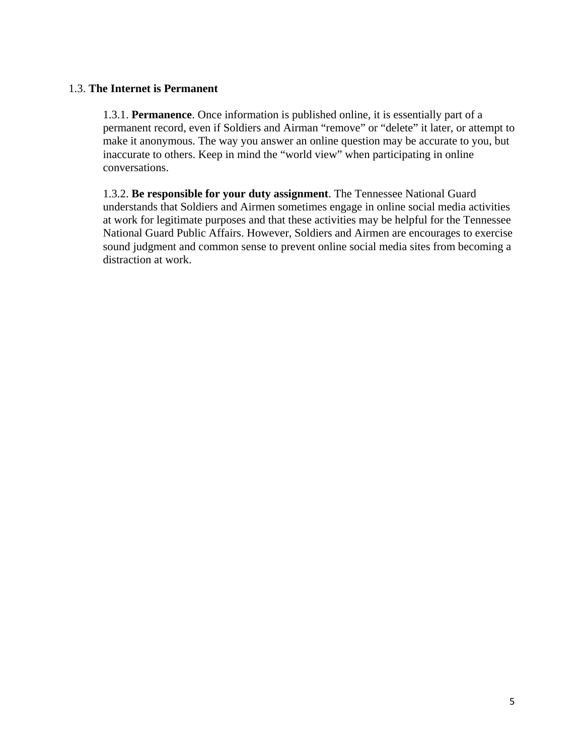#### 1.3. **The Internet is Permanent**

1.3.1. **Permanence**. Once information is published online, it is essentially part of a permanent record, even if Soldiers and Airman "remove" or "delete" it later, or attempt to make it anonymous. The way you answer an online question may be accurate to you, but inaccurate to others. Keep in mind the "world view" when participating in online conversations.

1.3.2. **Be responsible for your duty assignment**. The Tennessee National Guard understands that Soldiers and Airmen sometimes engage in online social media activities at work for legitimate purposes and that these activities may be helpful for the Tennessee National Guard Public Affairs. However, Soldiers and Airmen are encourages to exercise sound judgment and common sense to prevent online social media sites from becoming a distraction at work.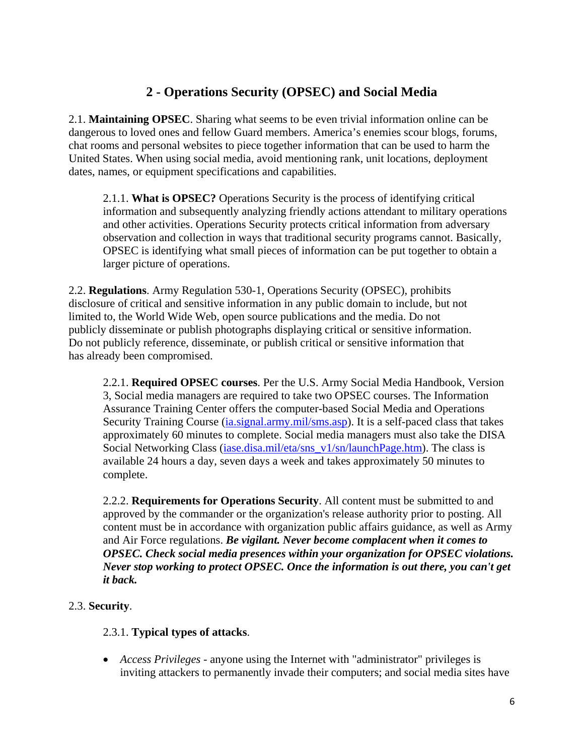## **2 - Operations Security (OPSEC) and Social Media**

2.1. **Maintaining OPSEC**. Sharing what seems to be even trivial information online can be dangerous to loved ones and fellow Guard members. America's enemies scour blogs, forums, chat rooms and personal websites to piece together information that can be used to harm the United States. When using social media, avoid mentioning rank, unit locations, deployment dates, names, or equipment specifications and capabilities.

2.1.1. **What is OPSEC?** Operations Security is the process of identifying critical information and subsequently analyzing friendly actions attendant to military operations and other activities. Operations Security protects critical information from adversary observation and collection in ways that traditional security programs cannot. Basically, OPSEC is identifying what small pieces of information can be put together to obtain a larger picture of operations.

2.2. **Regulations**. Army Regulation 530-1, Operations Security (OPSEC), prohibits disclosure of critical and sensitive information in any public domain to include, but not limited to, the World Wide Web, open source publications and the media. Do not publicly disseminate or publish photographs displaying critical or sensitive information. Do not publicly reference, disseminate, or publish critical or sensitive information that has already been compromised.

2.2.1. **Required OPSEC courses**. Per the U.S. Army Social Media Handbook, Version 3, Social media managers are required to take two OPSEC courses. The Information Assurance Training Center offers the computer-based Social Media and Operations Security Training Course (ia.signal.army.mil/sms.asp). It is a self-paced class that takes approximately 60 minutes to complete. Social media managers must also take the DISA Social Networking Class (iase.disa.mil/eta/sns\_v1/sn/launchPage.htm). The class is available 24 hours a day, seven days a week and takes approximately 50 minutes to complete.

2.2.2. **Requirements for Operations Security**. All content must be submitted to and approved by the commander or the organization's release authority prior to posting. All content must be in accordance with organization public affairs guidance, as well as Army and Air Force regulations. *Be vigilant. Never become complacent when it comes to OPSEC. Check social media presences within your organization for OPSEC violations. Never stop working to protect OPSEC. Once the information is out there, you can't get it back.*

## 2.3. **Security**.

### 2.3.1. **Typical types of attacks**.

 *Access Privileges* - anyone using the Internet with "administrator" privileges is inviting attackers to permanently invade their computers; and social media sites have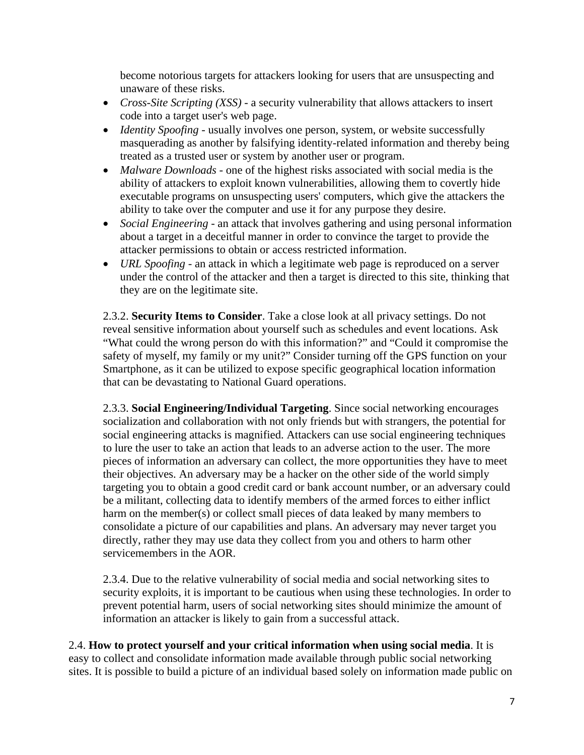become notorious targets for attackers looking for users that are unsuspecting and unaware of these risks.

- *Cross-Site Scripting (XSS)* a security vulnerability that allows attackers to insert code into a target user's web page.
- *Identity Spoofing* usually involves one person, system, or website successfully masquerading as another by falsifying identity-related information and thereby being treated as a trusted user or system by another user or program.
- *Malware Downloads* one of the highest risks associated with social media is the ability of attackers to exploit known vulnerabilities, allowing them to covertly hide executable programs on unsuspecting users' computers, which give the attackers the ability to take over the computer and use it for any purpose they desire.
- *Social Engineering* an attack that involves gathering and using personal information about a target in a deceitful manner in order to convince the target to provide the attacker permissions to obtain or access restricted information.
- *URL Spoofing* an attack in which a legitimate web page is reproduced on a server under the control of the attacker and then a target is directed to this site, thinking that they are on the legitimate site.

2.3.2. **Security Items to Consider**. Take a close look at all privacy settings. Do not reveal sensitive information about yourself such as schedules and event locations. Ask "What could the wrong person do with this information?" and "Could it compromise the safety of myself, my family or my unit?" Consider turning off the GPS function on your Smartphone, as it can be utilized to expose specific geographical location information that can be devastating to National Guard operations.

2.3.3. **Social Engineering/Individual Targeting**. Since social networking encourages socialization and collaboration with not only friends but with strangers, the potential for social engineering attacks is magnified. Attackers can use social engineering techniques to lure the user to take an action that leads to an adverse action to the user. The more pieces of information an adversary can collect, the more opportunities they have to meet their objectives. An adversary may be a hacker on the other side of the world simply targeting you to obtain a good credit card or bank account number, or an adversary could be a militant, collecting data to identify members of the armed forces to either inflict harm on the member(s) or collect small pieces of data leaked by many members to consolidate a picture of our capabilities and plans. An adversary may never target you directly, rather they may use data they collect from you and others to harm other servicemembers in the AOR.

2.3.4. Due to the relative vulnerability of social media and social networking sites to security exploits, it is important to be cautious when using these technologies. In order to prevent potential harm, users of social networking sites should minimize the amount of information an attacker is likely to gain from a successful attack.

2.4. **How to protect yourself and your critical information when using social media**. It is easy to collect and consolidate information made available through public social networking sites. It is possible to build a picture of an individual based solely on information made public on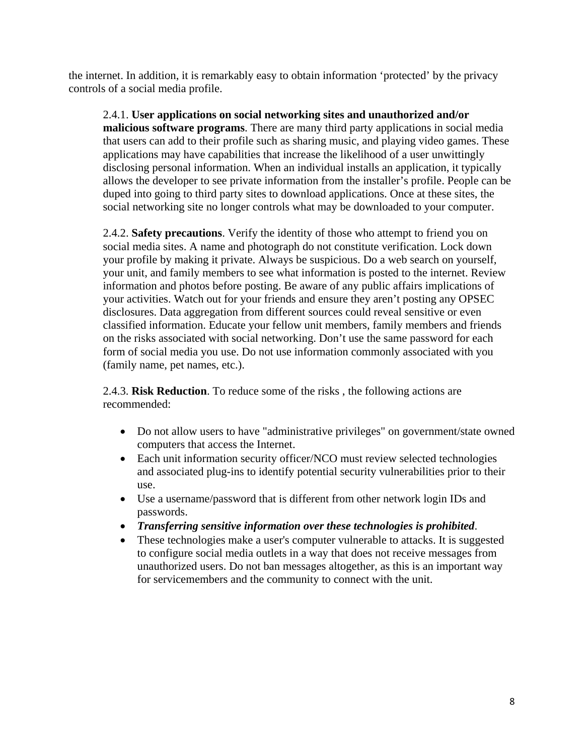the internet. In addition, it is remarkably easy to obtain information 'protected' by the privacy controls of a social media profile.

2.4.1. **User applications on social networking sites and unauthorized and/or malicious software programs**. There are many third party applications in social media that users can add to their profile such as sharing music, and playing video games. These applications may have capabilities that increase the likelihood of a user unwittingly disclosing personal information. When an individual installs an application, it typically allows the developer to see private information from the installer's profile. People can be duped into going to third party sites to download applications. Once at these sites, the social networking site no longer controls what may be downloaded to your computer.

2.4.2. **Safety precautions**. Verify the identity of those who attempt to friend you on social media sites. A name and photograph do not constitute verification. Lock down your profile by making it private. Always be suspicious. Do a web search on yourself, your unit, and family members to see what information is posted to the internet. Review information and photos before posting. Be aware of any public affairs implications of your activities. Watch out for your friends and ensure they aren't posting any OPSEC disclosures. Data aggregation from different sources could reveal sensitive or even classified information. Educate your fellow unit members, family members and friends on the risks associated with social networking. Don't use the same password for each form of social media you use. Do not use information commonly associated with you (family name, pet names, etc.).

2.4.3. **Risk Reduction**. To reduce some of the risks , the following actions are recommended:

- Do not allow users to have "administrative privileges" on government/state owned computers that access the Internet.
- Each unit information security officer/NCO must review selected technologies and associated plug-ins to identify potential security vulnerabilities prior to their use.
- Use a username/password that is different from other network login IDs and passwords.
- *Transferring sensitive information over these technologies is prohibited*.
- These technologies make a user's computer vulnerable to attacks. It is suggested to configure social media outlets in a way that does not receive messages from unauthorized users. Do not ban messages altogether, as this is an important way for servicemembers and the community to connect with the unit.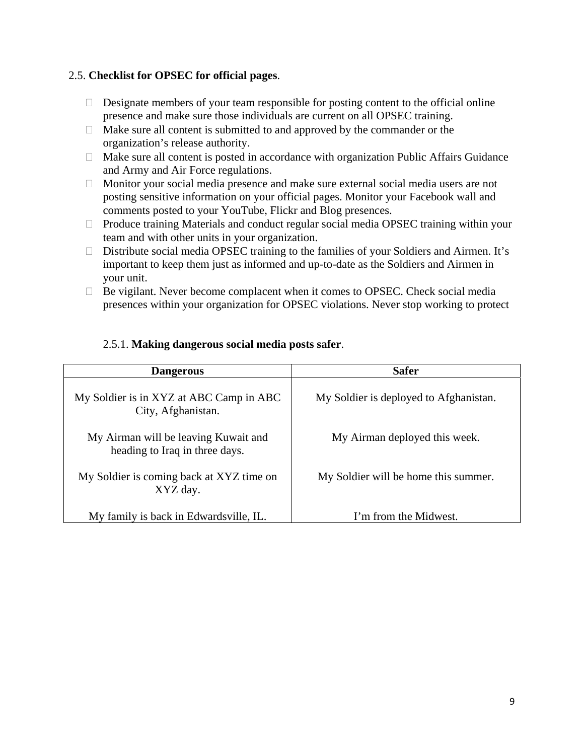### 2.5. **Checklist for OPSEC for official pages**.

- $\Box$  Designate members of your team responsible for posting content to the official online presence and make sure those individuals are current on all OPSEC training.
- $\Box$  Make sure all content is submitted to and approved by the commander or the organization's release authority.
- $\Box$  Make sure all content is posted in accordance with organization Public Affairs Guidance and Army and Air Force regulations.
- $\Box$  Monitor your social media presence and make sure external social media users are not posting sensitive information on your official pages. Monitor your Facebook wall and comments posted to your YouTube, Flickr and Blog presences.
- $\Box$  Produce training Materials and conduct regular social media OPSEC training within your team and with other units in your organization.
- $\Box$  Distribute social media OPSEC training to the families of your Soldiers and Airmen. It's important to keep them just as informed and up-to-date as the Soldiers and Airmen in your unit.
- $\Box$  Be vigilant. Never become complacent when it comes to OPSEC. Check social media presences within your organization for OPSEC violations. Never stop working to protect

| <b>Dangerous</b>                                                       | <b>Safer</b>                           |
|------------------------------------------------------------------------|----------------------------------------|
| My Soldier is in XYZ at ABC Camp in ABC<br>City, Afghanistan.          | My Soldier is deployed to Afghanistan. |
| My Airman will be leaving Kuwait and<br>heading to Iraq in three days. | My Airman deployed this week.          |
| My Soldier is coming back at XYZ time on<br>XYZ day.                   | My Soldier will be home this summer.   |
| My family is back in Edwardsville, IL.                                 | I'm from the Midwest.                  |

#### 2.5.1. **Making dangerous social media posts safer**.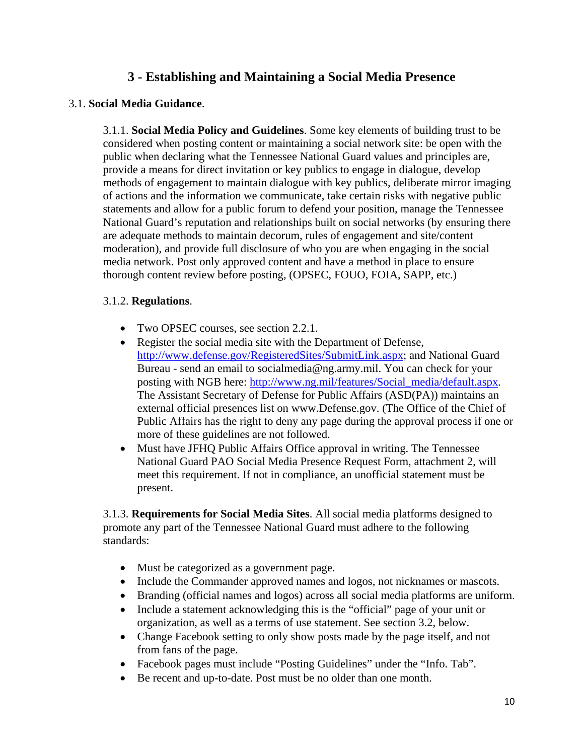## **3 - Establishing and Maintaining a Social Media Presence**

### 3.1. **Social Media Guidance**.

3.1.1. **Social Media Policy and Guidelines**. Some key elements of building trust to be considered when posting content or maintaining a social network site: be open with the public when declaring what the Tennessee National Guard values and principles are, provide a means for direct invitation or key publics to engage in dialogue, develop methods of engagement to maintain dialogue with key publics, deliberate mirror imaging of actions and the information we communicate, take certain risks with negative public statements and allow for a public forum to defend your position, manage the Tennessee National Guard's reputation and relationships built on social networks (by ensuring there are adequate methods to maintain decorum, rules of engagement and site/content moderation), and provide full disclosure of who you are when engaging in the social media network. Post only approved content and have a method in place to ensure thorough content review before posting, (OPSEC, FOUO, FOIA, SAPP, etc.)

#### 3.1.2. **Regulations**.

- Two OPSEC courses, see section 2.2.1.
- Register the social media site with the Department of Defense. http://www.defense.gov/RegisteredSites/SubmitLink.aspx; and National Guard Bureau - send an email to socialmedia@ng.army.mil. You can check for your posting with NGB here: http://www.ng.mil/features/Social\_media/default.aspx. The Assistant Secretary of Defense for Public Affairs (ASD(PA)) maintains an external official presences list on www.Defense.gov. (The Office of the Chief of Public Affairs has the right to deny any page during the approval process if one or more of these guidelines are not followed.
- Must have JFHQ Public Affairs Office approval in writing. The Tennessee National Guard PAO Social Media Presence Request Form, attachment 2, will meet this requirement. If not in compliance, an unofficial statement must be present.

3.1.3. **Requirements for Social Media Sites**. All social media platforms designed to promote any part of the Tennessee National Guard must adhere to the following standards:

- Must be categorized as a government page.
- Include the Commander approved names and logos, not nicknames or mascots.
- Branding (official names and logos) across all social media platforms are uniform.
- Include a statement acknowledging this is the "official" page of your unit or organization, as well as a terms of use statement. See section 3.2, below.
- Change Facebook setting to only show posts made by the page itself, and not from fans of the page.
- Facebook pages must include "Posting Guidelines" under the "Info. Tab".
- Be recent and up-to-date. Post must be no older than one month.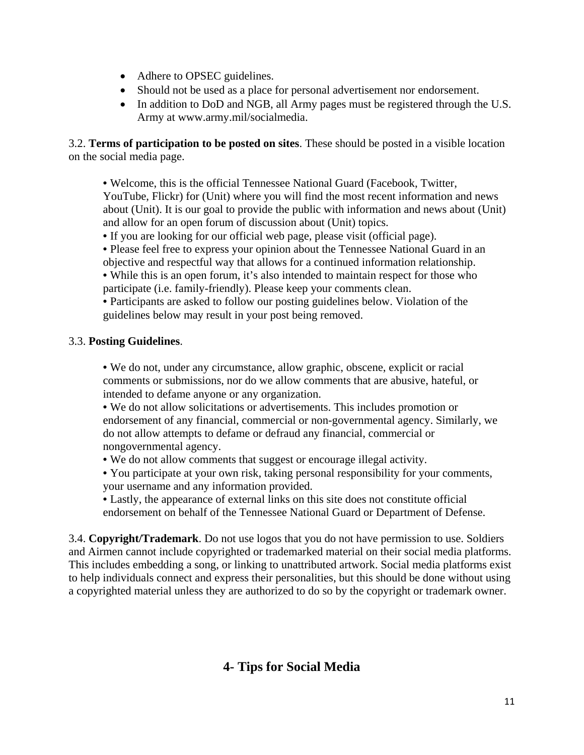- Adhere to OPSEC guidelines.
- Should not be used as a place for personal advertisement nor endorsement.
- In addition to DoD and NGB, all Army pages must be registered through the U.S. Army at www.army.mil/socialmedia.

3.2. **Terms of participation to be posted on sites**. These should be posted in a visible location on the social media page.

• Welcome, this is the official Tennessee National Guard (Facebook, Twitter,

YouTube, Flickr) for (Unit) where you will find the most recent information and news about (Unit). It is our goal to provide the public with information and news about (Unit) and allow for an open forum of discussion about (Unit) topics.

- If you are looking for our official web page, please visit (official page).
- Please feel free to express your opinion about the Tennessee National Guard in an objective and respectful way that allows for a continued information relationship.
- While this is an open forum, it's also intended to maintain respect for those who participate (i.e. family-friendly). Please keep your comments clean.

• Participants are asked to follow our posting guidelines below. Violation of the guidelines below may result in your post being removed.

### 3.3. **Posting Guidelines**.

• We do not, under any circumstance, allow graphic, obscene, explicit or racial comments or submissions, nor do we allow comments that are abusive, hateful, or intended to defame anyone or any organization.

• We do not allow solicitations or advertisements. This includes promotion or endorsement of any financial, commercial or non-governmental agency. Similarly, we do not allow attempts to defame or defraud any financial, commercial or nongovernmental agency.

- We do not allow comments that suggest or encourage illegal activity.
- You participate at your own risk, taking personal responsibility for your comments, your username and any information provided.

• Lastly, the appearance of external links on this site does not constitute official endorsement on behalf of the Tennessee National Guard or Department of Defense.

3.4. **Copyright/Trademark**. Do not use logos that you do not have permission to use. Soldiers and Airmen cannot include copyrighted or trademarked material on their social media platforms. This includes embedding a song, or linking to unattributed artwork. Social media platforms exist to help individuals connect and express their personalities, but this should be done without using a copyrighted material unless they are authorized to do so by the copyright or trademark owner.

## **4- Tips for Social Media**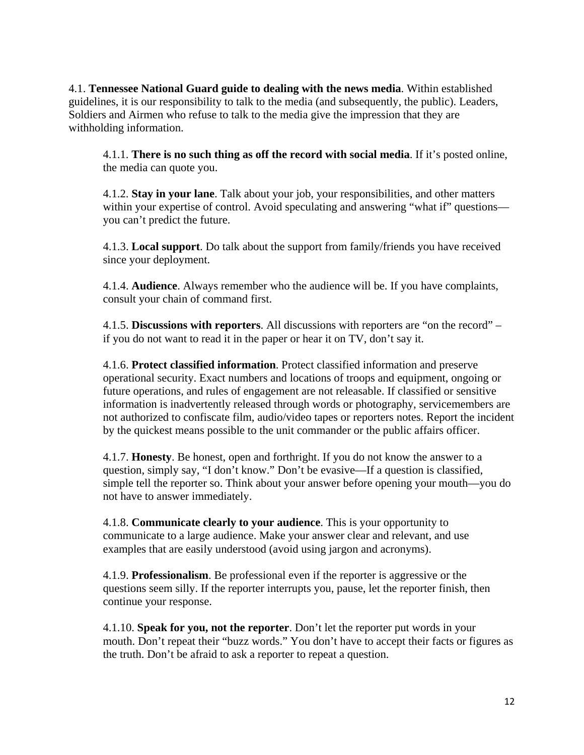4.1. **Tennessee National Guard guide to dealing with the news media**. Within established guidelines, it is our responsibility to talk to the media (and subsequently, the public). Leaders, Soldiers and Airmen who refuse to talk to the media give the impression that they are withholding information.

4.1.1. **There is no such thing as off the record with social media**. If it's posted online, the media can quote you.

4.1.2. **Stay in your lane**. Talk about your job, your responsibilities, and other matters within your expertise of control. Avoid speculating and answering "what if" questions you can't predict the future.

4.1.3. **Local support**. Do talk about the support from family/friends you have received since your deployment.

4.1.4. **Audience**. Always remember who the audience will be. If you have complaints, consult your chain of command first.

4.1.5. **Discussions with reporters**. All discussions with reporters are "on the record" – if you do not want to read it in the paper or hear it on TV, don't say it.

4.1.6. **Protect classified information**. Protect classified information and preserve operational security. Exact numbers and locations of troops and equipment, ongoing or future operations, and rules of engagement are not releasable. If classified or sensitive information is inadvertently released through words or photography, servicemembers are not authorized to confiscate film, audio/video tapes or reporters notes. Report the incident by the quickest means possible to the unit commander or the public affairs officer.

4.1.7. **Honesty**. Be honest, open and forthright. If you do not know the answer to a question, simply say, "I don't know." Don't be evasive—If a question is classified, simple tell the reporter so. Think about your answer before opening your mouth—you do not have to answer immediately.

4.1.8. **Communicate clearly to your audience**. This is your opportunity to communicate to a large audience. Make your answer clear and relevant, and use examples that are easily understood (avoid using jargon and acronyms).

4.1.9. **Professionalism**. Be professional even if the reporter is aggressive or the questions seem silly. If the reporter interrupts you, pause, let the reporter finish, then continue your response.

4.1.10. **Speak for you, not the reporter**. Don't let the reporter put words in your mouth. Don't repeat their "buzz words." You don't have to accept their facts or figures as the truth. Don't be afraid to ask a reporter to repeat a question.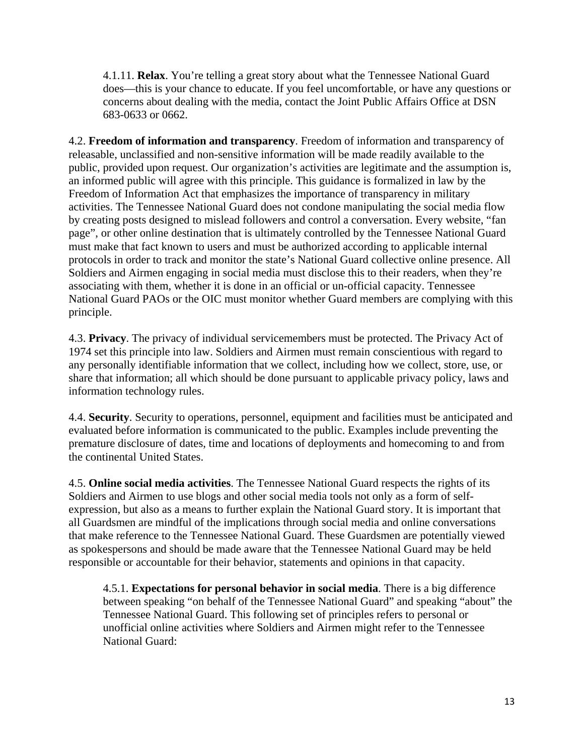4.1.11. **Relax**. You're telling a great story about what the Tennessee National Guard does—this is your chance to educate. If you feel uncomfortable, or have any questions or concerns about dealing with the media, contact the Joint Public Affairs Office at DSN 683-0633 or 0662.

4.2. **Freedom of information and transparency**. Freedom of information and transparency of releasable, unclassified and non-sensitive information will be made readily available to the public, provided upon request. Our organization's activities are legitimate and the assumption is, an informed public will agree with this principle. This guidance is formalized in law by the Freedom of Information Act that emphasizes the importance of transparency in military activities. The Tennessee National Guard does not condone manipulating the social media flow by creating posts designed to mislead followers and control a conversation. Every website, "fan page", or other online destination that is ultimately controlled by the Tennessee National Guard must make that fact known to users and must be authorized according to applicable internal protocols in order to track and monitor the state's National Guard collective online presence. All Soldiers and Airmen engaging in social media must disclose this to their readers, when they're associating with them, whether it is done in an official or un-official capacity. Tennessee National Guard PAOs or the OIC must monitor whether Guard members are complying with this principle.

4.3. **Privacy**. The privacy of individual servicemembers must be protected. The Privacy Act of 1974 set this principle into law. Soldiers and Airmen must remain conscientious with regard to any personally identifiable information that we collect, including how we collect, store, use, or share that information; all which should be done pursuant to applicable privacy policy, laws and information technology rules.

4.4. **Security**. Security to operations, personnel, equipment and facilities must be anticipated and evaluated before information is communicated to the public. Examples include preventing the premature disclosure of dates, time and locations of deployments and homecoming to and from the continental United States.

4.5. **Online social media activities**. The Tennessee National Guard respects the rights of its Soldiers and Airmen to use blogs and other social media tools not only as a form of selfexpression, but also as a means to further explain the National Guard story. It is important that all Guardsmen are mindful of the implications through social media and online conversations that make reference to the Tennessee National Guard. These Guardsmen are potentially viewed as spokespersons and should be made aware that the Tennessee National Guard may be held responsible or accountable for their behavior, statements and opinions in that capacity.

4.5.1. **Expectations for personal behavior in social media**. There is a big difference between speaking "on behalf of the Tennessee National Guard" and speaking "about" the Tennessee National Guard. This following set of principles refers to personal or unofficial online activities where Soldiers and Airmen might refer to the Tennessee National Guard: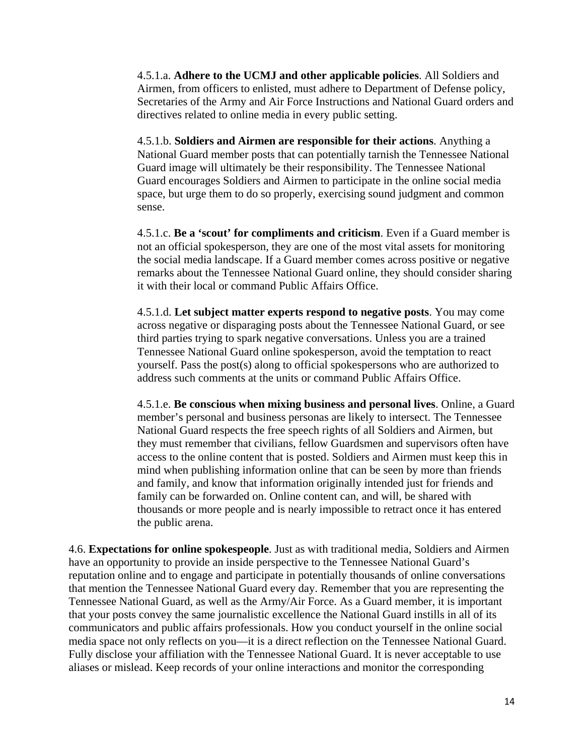4.5.1.a. **Adhere to the UCMJ and other applicable policies**. All Soldiers and Airmen, from officers to enlisted, must adhere to Department of Defense policy, Secretaries of the Army and Air Force Instructions and National Guard orders and directives related to online media in every public setting.

4.5.1.b. **Soldiers and Airmen are responsible for their actions**. Anything a National Guard member posts that can potentially tarnish the Tennessee National Guard image will ultimately be their responsibility. The Tennessee National Guard encourages Soldiers and Airmen to participate in the online social media space, but urge them to do so properly, exercising sound judgment and common sense.

4.5.1.c. **Be a 'scout' for compliments and criticism**. Even if a Guard member is not an official spokesperson, they are one of the most vital assets for monitoring the social media landscape. If a Guard member comes across positive or negative remarks about the Tennessee National Guard online, they should consider sharing it with their local or command Public Affairs Office.

4.5.1.d. **Let subject matter experts respond to negative posts**. You may come across negative or disparaging posts about the Tennessee National Guard, or see third parties trying to spark negative conversations. Unless you are a trained Tennessee National Guard online spokesperson, avoid the temptation to react yourself. Pass the post(s) along to official spokespersons who are authorized to address such comments at the units or command Public Affairs Office.

4.5.1.e. **Be conscious when mixing business and personal lives**. Online, a Guard member's personal and business personas are likely to intersect. The Tennessee National Guard respects the free speech rights of all Soldiers and Airmen, but they must remember that civilians, fellow Guardsmen and supervisors often have access to the online content that is posted. Soldiers and Airmen must keep this in mind when publishing information online that can be seen by more than friends and family, and know that information originally intended just for friends and family can be forwarded on. Online content can, and will, be shared with thousands or more people and is nearly impossible to retract once it has entered the public arena.

4.6. **Expectations for online spokespeople**. Just as with traditional media, Soldiers and Airmen have an opportunity to provide an inside perspective to the Tennessee National Guard's reputation online and to engage and participate in potentially thousands of online conversations that mention the Tennessee National Guard every day. Remember that you are representing the Tennessee National Guard, as well as the Army/Air Force. As a Guard member, it is important that your posts convey the same journalistic excellence the National Guard instills in all of its communicators and public affairs professionals. How you conduct yourself in the online social media space not only reflects on you—it is a direct reflection on the Tennessee National Guard. Fully disclose your affiliation with the Tennessee National Guard. It is never acceptable to use aliases or mislead. Keep records of your online interactions and monitor the corresponding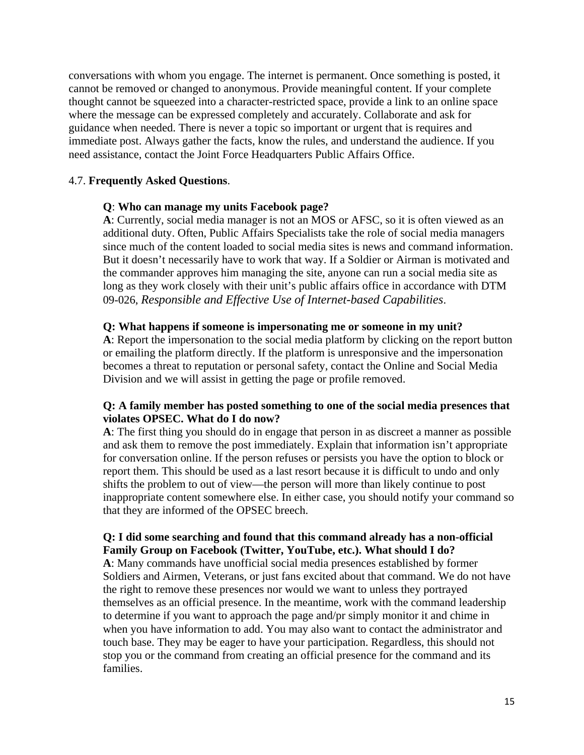conversations with whom you engage. The internet is permanent. Once something is posted, it cannot be removed or changed to anonymous. Provide meaningful content. If your complete thought cannot be squeezed into a character-restricted space, provide a link to an online space where the message can be expressed completely and accurately. Collaborate and ask for guidance when needed. There is never a topic so important or urgent that is requires and immediate post. Always gather the facts, know the rules, and understand the audience. If you need assistance, contact the Joint Force Headquarters Public Affairs Office.

#### 4.7. **Frequently Asked Questions**.

#### **Q**: **Who can manage my units Facebook page?**

**A**: Currently, social media manager is not an MOS or AFSC, so it is often viewed as an additional duty. Often, Public Affairs Specialists take the role of social media managers since much of the content loaded to social media sites is news and command information. But it doesn't necessarily have to work that way. If a Soldier or Airman is motivated and the commander approves him managing the site, anyone can run a social media site as long as they work closely with their unit's public affairs office in accordance with DTM 09-026, *Responsible and Effective Use of Internet-based Capabilities*.

#### **Q: What happens if someone is impersonating me or someone in my unit?**

**A**: Report the impersonation to the social media platform by clicking on the report button or emailing the platform directly. If the platform is unresponsive and the impersonation becomes a threat to reputation or personal safety, contact the Online and Social Media Division and we will assist in getting the page or profile removed.

#### **Q: A family member has posted something to one of the social media presences that violates OPSEC. What do I do now?**

**A**: The first thing you should do in engage that person in as discreet a manner as possible and ask them to remove the post immediately. Explain that information isn't appropriate for conversation online. If the person refuses or persists you have the option to block or report them. This should be used as a last resort because it is difficult to undo and only shifts the problem to out of view—the person will more than likely continue to post inappropriate content somewhere else. In either case, you should notify your command so that they are informed of the OPSEC breech.

#### **Q: I did some searching and found that this command already has a non-official Family Group on Facebook (Twitter, YouTube, etc.). What should I do?**

**A**: Many commands have unofficial social media presences established by former Soldiers and Airmen, Veterans, or just fans excited about that command. We do not have the right to remove these presences nor would we want to unless they portrayed themselves as an official presence. In the meantime, work with the command leadership to determine if you want to approach the page and/pr simply monitor it and chime in when you have information to add. You may also want to contact the administrator and touch base. They may be eager to have your participation. Regardless, this should not stop you or the command from creating an official presence for the command and its families.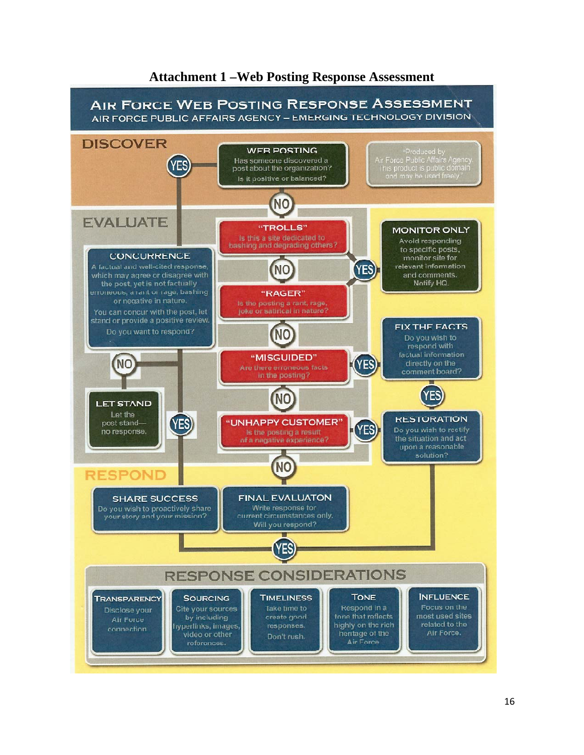

### **Attachment 1 –Web Posting Response Assessment**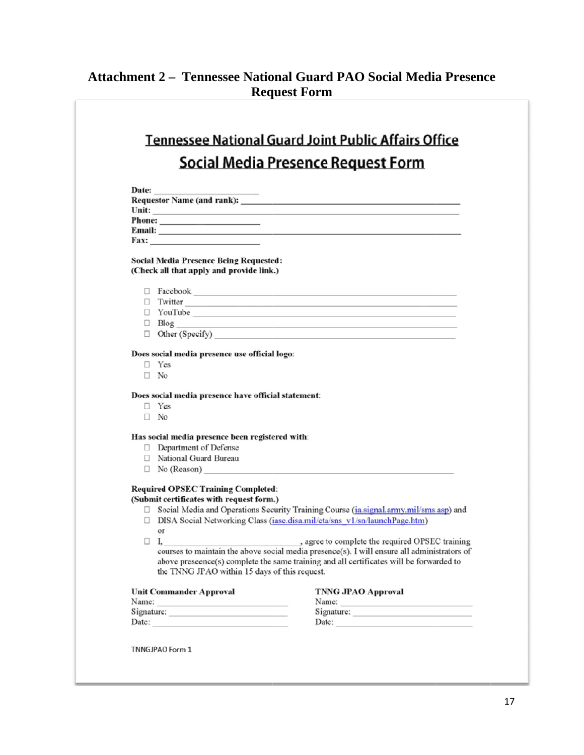## **Attachment 2 - Tennessee National Guard PAO Social Media Presence Req uest Form**

# **Tennessee National Guard Joint Public Affairs Office Social Media Presence Request Form**

| <b>Date:</b>                                                                                       |  |
|----------------------------------------------------------------------------------------------------|--|
| <b>Requestor Name (and rank):</b>                                                                  |  |
| Unit:<br>the control of the control of the control of the control of the control of the control of |  |
| <b>Phone:</b>                                                                                      |  |
| Email:                                                                                             |  |
| <b>Fax:</b>                                                                                        |  |
|                                                                                                    |  |

#### **Social Media Presence Being Requested:** (Check all that apply and provide link.)

□ Facebook

| □ Twitter              |  |
|------------------------|--|
| $\Box$ YouTube         |  |
| $\Box$ Blog            |  |
| $\Box$ Other (Specify) |  |

#### Does social media presence use official logo:

- $\Box$  Yes
- $\Box$  No

#### Does social media presence have official statement:

- $\Box$  Yes
- $\Box$  No

#### Has social media presence been registered with:

- Department of Defense
- □ National Guard Bureau
- $\Box$  No (Reason)

#### **Required OPSEC Training Completed:**

(Submit certificates with request form.)

- □ Social Media and Operations Security Training Course (ia.signal.army.mil/sms.asp) and □ DISA Social Networking Class (iase.disa.mil/eta/sns v1/sn/launchPage.htm)
- or
- $\Box$  I,
	- , agree to complete the required OPSEC training courses to maintain the above social media presence(s). I will ensure all administrators of above preseence(s) complete the same training and all certificates will be forwarded to the TNNG JPAO within 15 days of this request.

| <b>TNNG JPAO Approval</b> | Unit Commander Approval |
|---------------------------|-------------------------|
|                           | Name:                   |
| Signature:                | Signature:              |
|                           | Date:                   |
|                           |                         |

**TNNGJPAO Form 1**